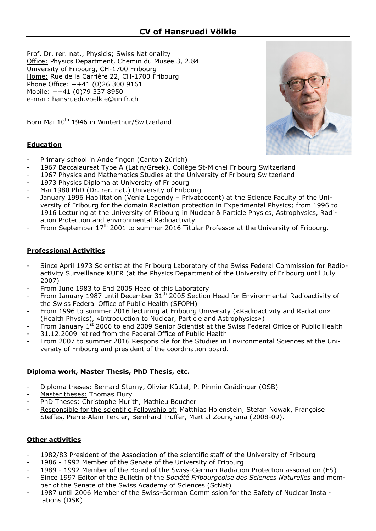Prof. Dr. rer. nat., Physicis; Swiss Nationality Office: Physics Department, Chemin du Musée 3, 2.84 University of Fribourg, CH-1700 Fribourg Home: Rue de la Carrière 22, CH-1700 Fribourg Phone Office: ++41 (0)26 300 9161 Mobile: ++41 (0)79 337 8950 e-mail: hansruedi.voelkle@unifr.ch



Born Mai 10<sup>th</sup> 1946 in Winterthur/Switzerland

## **Education**

- Primary school in Andelfingen (Canton Zürich)
- 1967 Baccalaureat Type A (Latin/Greek), Collège St-Michel Fribourg Switzerland
- 1967 Physics and Mathematics Studies at the University of Fribourg Switzerland
- 1973 Physics Diploma at University of Fribourg
- Mai 1980 PhD (Dr. rer. nat.) University of Fribourg
- January 1996 Habilitation (Venia Legendy Privatdocent) at the Science Faculty of the University of Fribourg for the domain Radiation protection in Experimental Physics; from 1996 to 1916 Lecturing at the University of Fribourg in Nuclear & Particle Physics, Astrophysics, Radiation Protection and environmental Radioactivity
- From September  $17<sup>th</sup>$  2001 to summer 2016 Titular Professor at the University of Fribourg.

## **Professional Activities**

- Since April 1973 Scientist at the Fribourg Laboratory of the Swiss Federal Commission for Radioactivity Surveillance KUER (at the Physics Department of the University of Fribourg until July 2007)
- From June 1983 to End 2005 Head of this Laboratory
- From January 1987 until December  $31<sup>th</sup>$  2005 Section Head for Environmental Radioactivity of the Swiss Federal Office of Public Health (SFOPH)
- From 1996 to summer 2016 lecturing at Fribourg University («Radioactivity and Radiation» (Health Physics), «Introduction to Nuclear, Particle and Astrophysics»)
- From January 1<sup>st</sup> 2006 to end 2009 Senior Scientist at the Swiss Federal Office of Public Health 31.12.2009 retired from the Federal Office of Public Health
- From 2007 to summer 2016 Responsible for the Studies in Environmental Sciences at the University of Fribourg and president of the coordination board.

### **Diploma work, Master Thesis, PhD Thesis, etc.**

- Diploma theses: Bernard Sturny, Olivier Küttel, P. Pirmin Gnädinger (OSB)
- Master theses: Thomas Flury
- PhD Theses: Christophe Murith, Mathieu Boucher
- Responsible for the scientific Fellowship of: Matthias Holenstein, Stefan Nowak, Françoise Steffes, Pierre-Alain Tercier, Bernhard Truffer, Martial Zoungrana (2008-09).

## **Other activities**

- 1982/83 President of the Association of the scientific staff of the University of Fribourg
- 1986 1992 Member of the Senate of the University of Fribourg
- 1989 1992 Member of the Board of the Swiss-German Radiation Protection association (FS)
- Since 1997 Editor of the Bulletin of the *Société Fribourgeoise des Sciences Naturelles* and member of the Senate of the Swiss Academy of Sciences (ScNat)
- 1987 until 2006 Member of the Swiss-German Commission for the Safety of Nuclear Installations (DSK)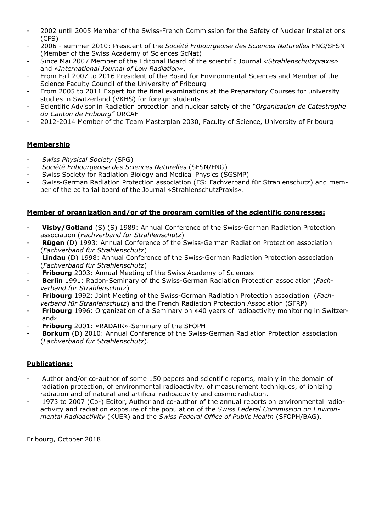- 2002 until 2005 Member of the Swiss-French Commission for the Safety of Nuclear Installations (CFS)
- 2006 summer 2010: President of the *Société Fribourgeoise des Sciences Naturelles* FNG/SFSN (Member of the Swiss Academy of Sciences ScNat)
- Since Mai 2007 Member of the Editorial Board of the scientific Journal *«Strahlenschutzpraxis»* and *«International Journal of Low Radiation»*,
- From Fall 2007 to 2016 President of the Board for Environmental Sciences and Member of the Science Faculty Council of the University of Fribourg
- From 2005 to 2011 Expert for the final examinations at the Preparatory Courses for university studies in Switzerland (VKHS) for foreign students
- Scientific Advisor in Radiation protection and nuclear safety of the *"Organisation de Catastrophe du Canton de Fribourg"* ORCAF
- 2012-2014 Member of the Team Masterplan 2030, Faculty of Science, University of Fribourg

## **Membership**

- *Swiss Physical Society* (SPG)
- *Société Fribourgeoise des Sciences Naturelles* (SFSN/FNG)
- Swiss Society for Radiation Biology and Medical Physics (SGSMP)
- Swiss-German Radiation Protection association (FS: Fachverband für Strahlenschutz) and member of the editorial board of the Journal «StrahlenschutzPraxis».

### **Member of organization and/or of the program comities of the scientific congresses:**

- **Visby/Gotland** (S) (S) 1989: Annual Conference of the Swiss-German Radiation Protection association (*Fachverband für Strahlenschutz*)
- **Rügen** (D) 1993: Annual Conference of the Swiss-German Radiation Protection association (*Fachverband für Strahlenschutz*)
- **Lindau** (D) 1998: Annual Conference of the Swiss-German Radiation Protection association (*Fachverband für Strahlenschutz*)
- **Fribourg** 2003: Annual Meeting of the Swiss Academy of Sciences
- **Berlin** 1991: Radon-Seminary of the Swiss-German Radiation Protection association (*Fachverband für Strahlenschutz*)
- **Fribourg** 1992: Joint Meeting of the Swiss-German Radiation Protection association (*Fachverband für Strahlenschutz*) and the French Radiation Protection Association (SFRP)
- **Fribourg** 1996: Organization of a Seminary on «40 years of radioactivity monitoring in Switzerland»
- **Fribourg** 2001: «RADAIR»-Seminary of the SFOPH
- **Borkum** (D) 2010: Annual Conference of the Swiss-German Radiation Protection association (*Fachverband für Strahlenschutz*).

## **Publications:**

- Author and/or co-author of some 150 papers and scientific reports, mainly in the domain of radiation protection, of environmental radioactivity, of measurement techniques, of ionizing radiation and of natural and artificial radioactivity and cosmic radiation.
- 1973 to 2007 (Co-) Editor, Author and co-author of the annual reports on environmental radioactivity and radiation exposure of the population of the *Swiss Federal Commission on Environmental Radioactivity* (KUER) and the *Swiss Federal Office of Public Health* (SFOPH/BAG).

Fribourg, October 2018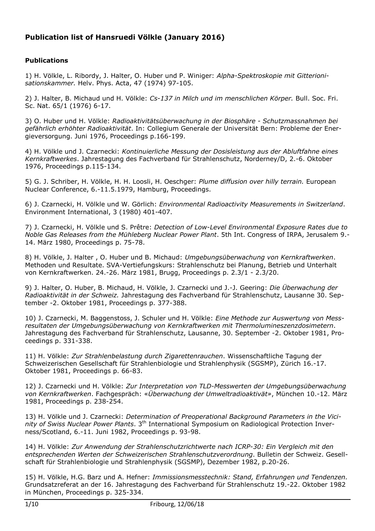# **Publication list of Hansruedi Völkle (January 2016)**

# **Publications**

1) H. Völkle, L. Ribordy, J. Halter, O. Huber und P. Winiger: *Alpha-Spektroskopie mit Gitterionisationskammer.* Helv. Phys. Acta, 47 (1974) 97-105.

2) J. Halter, B. Michaud und H. Völkle: *Cs-137 in Milch und im menschlichen Körper.* Bull. Soc. Fri. Sc. Nat. 65/1 (1976) 6-17.

3) O. Huber und H. Völkle: *Radioaktivitätsüberwachung in der Biosphäre - Schutzmassnahmen bei gefährlich erhöhter Radioaktivität*. In: Collegium Generale der Universität Bern: Probleme der Energieversorgung. Juni 1976, Proceedings p.166-199.

4) H. Völkle und J. Czarnecki: *Kontinuierliche Messung der Dosisleistung aus der Abluftfahne eines Kernkraftwerkes*. Jahrestagung des Fachverband für Strahlenschutz, Norderney/D, 2.-6. Oktober 1976, Proceedings p.115-134.

5) G. J. Schriber, H. Völkle, H. H. Loosli, H. Oeschger: *Plume diffusion over hilly terrain.* European Nuclear Conference, 6.-11.5.1979, Hamburg, Proceedings.

6) J. Czarnecki, H. Völkle und W. Görlich: *Environmental Radioactivity Measurements in Switzerland*. Environment International, 3 (1980) 401-407.

7) J. Czarnecki, H. Völkle und S. Prêtre: *Detection of Low-Level Environmental Exposure Rates due to Noble Gas Releases from the Mühleberg Nuclear Power Plant*. 5th Int. Congress of IRPA, Jerusalem 9.- 14. März 1980, Proceedings p. 75-78.

8) H. Völkle, J. Halter , O. Huber und B. Michaud: *Umgebungsüberwachung von Kernkraftwerken*. Methoden und Resultate. SVA-Vertiefungskurs: Strahlenschutz bei Planung, Betrieb und Unterhalt von Kernkraftwerken. 24.-26. März 1981, Brugg, Proceedings p. 2.3/1 - 2.3/20.

9) J. Halter, O. Huber, B. Michaud, H. Völkle, J. Czarnecki und J.-J. Geering: *Die Überwachung der Radioaktivität in der Schweiz.* Jahrestagung des Fachverband für Strahlenschutz, Lausanne 30. September -2. Oktober 1981, Proceedings p. 377-388.

10) J. Czarnecki, M. Baggenstoss, J. Schuler und H. Völkle: *Eine Methode zur Auswertung von Messresultaten der Umgebungsüberwachung von Kernkraftwerken mit Thermolumineszenzdosimetern*. Jahrestagung des Fachverband für Strahlenschutz, Lausanne, 30. September -2. Oktober 1981, Proceedings p. 331-338.

11) H. Völkle: *Zur Strahlenbelastung durch Zigarettenrauchen*. Wissenschaftliche Tagung der Schweizerischen Gesellschaft für Strahlenbiologie und Strahlenphysik (SGSMP), Zürich 16.-17. Oktober 1981, Proceedings p. 66-83.

12) J. Czarnecki und H. Völkle: *Zur Interpretation von TLD-Messwerten der Umgebungsüberwachung von Kernkraftwerken*. Fachgespräch: «*Überwachung der Umweltradioaktivät»*, München 10.-12. März 1981, Proceedings p. 238-254.

13) H. Völkle und J. Czarnecki: *Determination of Preoperational Background Parameters in the Vicinity of Swiss Nuclear Power Plants*. 3th International Symposium on Radiological Protection Inverness/Scotland, 6.-11. Juni 1982, Proceedings p. 93-98.

14) H. Völkle: *Zur Anwendung der Strahlenschutzrichtwerte nach ICRP-30: Ein Vergleich mit den entsprechenden Werten der Schweizerischen Strahlenschutzverordnung*. Bulletin der Schweiz. Gesellschaft für Strahlenbiologie und Strahlenphysik (SGSMP), Dezember 1982, p.20-26.

15) H. Völkle, H.G. Barz und A. Hefner: *Immissionsmesstechnik: Stand, Erfahrungen und Tendenzen.* Grundsatzreferat an der 16. Jahrestagung des Fachverband für Strahlenschutz 19.-22. Oktober 1982 in München, Proceedings p. 325-334.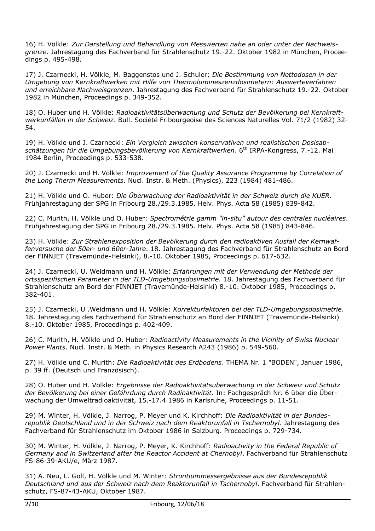16) H. Völkle: *Zur Darstellung und Behandlung von Messwerten nahe an oder unter der Nachweisgrenze*. Jahrestagung des Fachverband für Strahlenschutz 19.-22. Oktober 1982 in München, Proceedings p. 495-498.

17) J. Czarnecki, H. Völkle, M. Baggenstos und J. Schuler: *Die Bestimmung von Nettodosen in der Umgebung von Kernkraftwerken mit Hilfe von Thermolumineszenzdosimetern: Auswerteverfahren und erreichbare Nachweisgrenzen*. Jahrestagung des Fachverband für Strahlenschutz 19.-22. Oktober 1982 in München, Proceedings p. 349-352.

18) O. Huber und H. Völkle: *Radioaktivitätsüberwachung und Schutz der Bevölkerung bei Kernkraftwerkunfällen in der Schweiz*. Bull. Société Fribourgeoise des Sciences Naturelles Vol. 71/2 (1982) 32- 54.

19) H. Völkle und J. Czarnecki: *Ein Vergleich zwischen konservativen und realistischen Dosisabschätzungen für die Umgebungsbevölkerung von Kernkraftwerken*. 6th IRPA-Kongress, 7.-12. Mai 1984 Berlin, Proceedings p. 533-538.

20) J. Czarnecki und H. Völkle: *Improvement of the Quality Assurance Programme by Correlation of the Long Therm Measurements*. Nucl. Instr. & Meth. (Physics), 223 (1984) 481-486.

21) H. Völkle und O. Huber: *Die Überwachung der Radioaktivität in der Schweiz durch die KUER*. Frühjahrestagung der SPG in Fribourg 28./29.3.1985. Helv. Phys. Acta 58 (1985) 839-842.

22) C. Murith, H. Völkle und O. Huber: *Spectrométrie gamm "in-situ" autour des centrales nucléaires*. Frühjahrestagung der SPG in Fribourg 28./29.3.1985. Helv. Phys. Acta 58 (1985) 843-846.

23) H. Völkle: *Zur Strahlenexposition der Bevölkerung durch den radioaktiven Ausfall der Kernwaffenversuche der 50er- und 60er-Jahre*. 18. Jahrestagung des Fachverband für Strahlenschutz an Bord der FINNJET (Travemünde-Helsinki), 8.-10. Oktober 1985, Proceedings p. 617-632.

24) J. Czarnecki, U. Weidmann und H. Völkle: *Erfahrungen mit der Verwendung der Methode der ortsspezifischen Parameter in der TLD-Umgebungsdosimetrie*. 18. Jahrestagung des Fachverband für Strahlenschutz am Bord der FINNJET (Travemünde-Helsinki) 8.-10. Oktober 1985, Proceedings p. 382-401.

25) J. Czarnecki, U .Weidmann und H. Völkle: *Korrekturfaktoren bei der TLD-Umgebungsdosimetrie*. 18. Jahrestagung des Fachverband für Strahlenschutz an Bord der FINNJET (Travemünde-Helsinki) 8.-10. Oktober 1985, Proceedings p. 402-409.

26) C. Murith, H. Völkle und O. Huber: *Radioactivity Measurements in the Vicinity of Swiss Nuclear Power Plants*. Nucl. Instr. & Meth. in Physics Research A243 (1986) p. 549-560.

27) H. Völkle und C. Murith: *Die Radioaktivität des Erdbodens*. THEMA Nr. 1 "BODEN", Januar 1986, p. 39 ff. (Deutsch und Französisch).

28) O. Huber und H. Völkle: *Ergebnisse der Radioaktivitätsüberwachung in der Schweiz und Schutz der Bevölkerung bei einer Gefährdung durch Radioaktivität.* In: Fachgespräch Nr. 6 über die Überwachung der Umweltradioaktivität, 15.-17.4.1986 in Karlsruhe, Proceedings p. 11-51.

29) M. Winter, H. Völkle, J. Narrog, P. Meyer und K. Kirchhoff: *Die Radioaktivität in der Bundesrepublik Deutschland und in der Schweiz nach dem Reaktorunfall in Tschernobyl*. Jahrestagung des Fachverband für Strahlenschutz im Oktober 1986 in Salzburg. Proceedings p. 729-734.

30) M. Winter, H. Völkle, J. Narrog, P. Meyer, K. Kirchhoff: *Radioactivity in the Federal Republic of Germany and in Switzerland after the Reactor Accident at Chernobyl*. Fachverband für Strahlenschutz FS-86-39-AKU/e, März 1987.

31) A. Neu, L. Goll, H. Völkle und M. Winter: *Strontiummessergebnisse aus der Bundesrepublik Deutschland und aus der Schweiz nach dem Reaktorunfall in Tschernobyl*. Fachverband für Strahlenschutz, FS-87-43-AKU, Oktober 1987.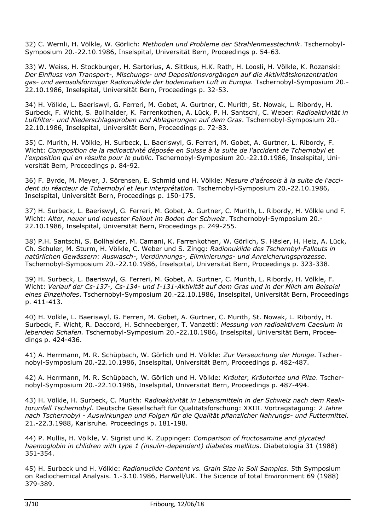32) C. Wernli, H. Völkle, W. Görlich: *Methoden und Probleme der Strahlenmesstechnik*. Tschernobyl-Symposium 20.-22.10.1986, Inselspital, Universität Bern, Proceedings p. 54-63.

33) W. Weiss, H. Stockburger, H. Sartorius, A. Sittkus, H.K. Rath, H. Loosli, H. Völkle, K. Rozanski: *Der Einfluss von Transport-, Mischungs- und Depositionsvorgängen auf die Aktivitätskonzentration gas- und aerosolsförmiger Radionuklide der bodennahen Luft in Europa.* Tschernobyl-Symposium 20.- 22.10.1986, Inselspital, Universität Bern, Proceedings p. 32-53.

34) H. Völkle, L. Baeriswyl, G. Ferreri, M. Gobet, A. Gurtner, C. Murith, St. Nowak, L. Ribordy, H. Surbeck, F. Wicht, S. Bollhalder, K. Farrenkothen, A. Lück, P. H. Santschi, C. Weber: *Radioaktivität in Luftfilter- und Niederschlagsproben und Ablagerungen auf dem Gras*. Tschernobyl-Symposium 20.- 22.10.1986, Inselspital, Universität Bern, Proceedings p. 72-83.

35) C. Murith, H. Völkle, H. Surbeck, L. Baeriswyl, G. Ferreri, M. Gobet, A. Gurtner, L. Ribordy, F. Wicht: *Composition de la radioactivité déposée en Suisse à la suite de l'accident de Tchernobyl et l'exposition qui en résulte pour le public*. Tschernobyl-Symposium 20.-22.10.1986, Inselspital, Universität Bern, Proceedings p. 84-92.

36) F. Byrde, M. Meyer, J. Sörensen, E. Schmid und H. Völkle: *Mesure d'aérosols à la suite de l'accident du réacteur de Tchernobyl et leur interprétation*. Tschernobyl-Symposium 20.-22.10.1986, Inselspital, Universität Bern, Proceedings p. 150-175.

37) H. Surbeck, L. Baeriswyl, G. Ferreri, M. Gobet, A. Gurtner, C. Murith, L. Ribordy, H. Völkle und F. Wicht: *Alter, neuer und neuester Fallout im Boden der Schweiz*. Tschernobyl-Symposium 20.- 22.10.1986, Inselspital, Universität Bern, Proceedings p. 249-255.

38) P.H. Santschi, S. Bollhalder, M. Camani, K. Farrenkothen, W. Görlich, S. Häsler, H. Heiz, A. Lück, Ch. Schuler, M. Sturm, H. Völkle, C. Weber und S. Zingg: *Radionuklide des Tschernbyl-Fallouts in natürlichen Gewässern: Auswasch-, Verdünnungs-, Eliminierungs- und Anreicherungsprozesse*. Tschernobyl-Symposium 20.-22.10.1986, Inselspital, Universität Bern, Proceedings p. 323-338.

39) H. Surbeck, L. Baeriswyl, G. Ferreri, M. Gobet, A. Gurtner, C. Murith, L. Ribordy, H. Völkle, F. Wicht: *Verlauf der Cs-137-, Cs-134- und I-131-Aktivität auf dem Gras und in der Milch am Beispiel eines Einzelhofes*. Tschernobyl-Symposium 20.-22.10.1986, Inselspital, Universität Bern, Proceedings p. 411-413.

40) H. Völkle, L. Baeriswyl, G. Ferreri, M. Gobet, A. Gurtner, C. Murith, St. Nowak, L. Ribordy, H. Surbeck, F. Wicht, R. Daccord, H. Schneeberger, T. Vanzetti: *Messung von radioaktivem Caesium in lebenden Schafen.* Tschernobyl-Symposium 20.-22.10.1986, Inselspital, Universität Bern, Proceedings p. 424-436.

41) A. Herrmann, M. R. Schüpbach, W. Görlich und H. Völkle: *Zur Verseuchung der Honige*. Tschernobyl-Symposium 20.-22.10.1986, Inselspital, Universität Bern, Proceedings p. 482-487.

42) A. Herrmann, M. R. Schüpbach, W. Görlich und H. Völkle: *Kräuter, Kräutertee und Pilze*. Tschernobyl-Symposium 20.-22.10.1986, Inselspital, Universität Bern, Proceedings p. 487-494.

43) H. Völkle, H. Surbeck, C. Murith: *Radioaktivität in Lebensmitteln in der Schweiz nach dem Reaktorunfall Tschernobyl*. Deutsche Gesellschaft für Qualitätsforschung: XXIII. Vortragstagung: *2 Jahre nach Tschernobyl - Auswirkungen und Folgen für die Qualität pflanzlicher Nahrungs- und Futtermittel*. 21.-22.3.1988, Karlsruhe. Proceedings p. 181-198.

44) P. Mullis, H. Völkle, V. Sigrist und K. Zuppinger: *Comparison of fructosamine and glycated haemoglobin in chlidren with type 1 (insulin-dependent) diabetes mellitus*. Diabetologia 31 (1988) 351-354.

45) H. Surbeck und H. Völkle: *Radionuclide Content vs. Grain Size in Soil Samples*. 5th Symposium on Radiochemical Analysis. 1.-3.10.1986, Harwell/UK. The Sicence of total Environment 69 (1988) 379-389.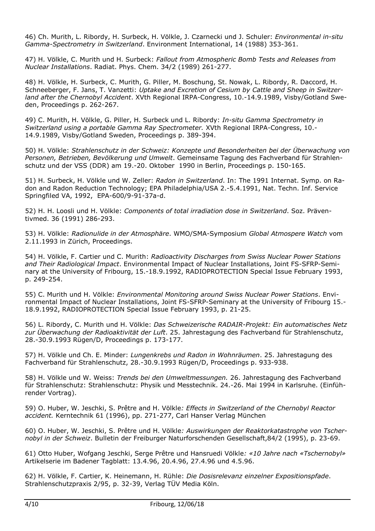46) Ch. Murith, L. Ribordy, H. Surbeck, H. Völkle, J. Czarnecki und J. Schuler: *Environmental in-situ Gamma-Spectrometry in Switzerland*. Environment International, 14 (1988) 353-361.

47) H. Völkle, C. Murith und H. Surbeck: *Fallout from Atmospheric Bomb Tests and Releases from Nuclear Installations*. Radiat. Phys. Chem. 34/2 (1989) 261-277.

48) H. Völkle, H. Surbeck, C. Murith, G. Piller, M. Boschung, St. Nowak, L. Ribordy, R. Daccord, H. Schneeberger, F. Jans, T. Vanzetti: *Uptake and Excretion of Cesium by Cattle and Sheep in Switzerland after the Chernobyl Accident*. XVth Regional IRPA-Congress, 10.-14.9.1989, Visby/Gotland Sweden, Proceedings p. 262-267.

49) C. Murith, H. Völkle, G. Piller, H. Surbeck und L. Ribordy: *In-situ Gamma Spectrometry in Switzerland using a portable Gamma Ray Spectrometer.* XVth Regional IRPA-Congress, 10.- 14.9.1989, Visby/Gotland Sweden, Proceedings p. 389-394.

50) H. Völkle: *Strahlenschutz in der Schweiz: Konzepte und Besonderheiten bei der Überwachung von Personen, Betrieben, Bevölkerung und Umwelt*. Gemeinsame Tagung des Fachverband für Strahlenschutz und der VSS (DDR) am 19.-20. Oktober 1990 in Berlin, Proceedings p. 150-165.

51) H. Surbeck, H. Völkle und W. Zeller: *Radon in Switzerland*. In: The 1991 Internat. Symp. on Radon and Radon Reduction Technology; EPA Philadelphia/USA 2.-5.4.1991, Nat. Techn. Inf. Service Springfiled VA, 1992, EPA-600/9-91-37a-d.

52) H. H. Loosli und H. Völkle: *Components of total irradiation dose in Switzerland*. Soz. Präventivmed. 36 (1991) 286-293.

53) H. Völkle: *Radionulide in der Atmosphäre*. WMO/SMA-Symposium *Global Atmospere Watch* vom 2.11.1993 in Zürich, Proceedings.

54) H. Völkle, F. Cartier und C. Murith: *Radioactivity Discharges from Swiss Nuclear Power Stations and Their Radiological Impact*. Environmental Impact of Nuclear Installations, Joint FS-SFRP-Seminary at the University of Fribourg, 15.-18.9.1992, RADIOPROTECTION Special Issue February 1993, p. 249-254.

55) C. Murith und H. Völkle: *Environmental Monitoring around Swiss Nuclear Power Stations*. Environmental Impact of Nuclear Installations, Joint FS-SFRP-Seminary at the University of Fribourg 15.- 18.9.1992, RADIOPROTECTION Special Issue February 1993, p. 21-25.

56) L. Ribordy, C. Murith und H. Völkle: *Das Schweizerische RADAIR-Projekt: Ein automatisches Netz zur Überwachung der Radioaktivität der Luft*. 25. Jahrestagung des Fachverband für Strahlenschutz, 28.-30.9.1993 Rügen/D, Proceedings p. 173-177.

57) H. Völkle und Ch. E. Minder: *Lungenkrebs und Radon in Wohnräumen*. 25. Jahrestagung des Fachverband für Strahlenschutz, 28.-30.9.1993 Rügen/D, Proceedings p. 933-938.

58) H. Völkle und W. Weiss: *Trends bei den Umweltmessungen.* 26. Jahrestagung des Fachverband für Strahlenschutz: Strahlenschutz: Physik und Messtechnik. 24.-26. Mai 1994 in Karlsruhe. (Einführender Vortrag).

59) O. Huber, W. Jeschki, S. Prêtre and H. Völkle*: Effects in Switzerland of the Chernobyl Reactor accident.* Kerntechnik 61 (1996), pp. 271-277, Carl Hanser Verlag München

60) O. Huber, W. Jeschki, S. Prêtre und H. Völkle*: Auswirkungen der Reaktorkatastrophe von Tschernobyl in der Schweiz*. Bulletin der Freiburger Naturforschenden Gesellschaft,84/2 (1995), p. 23-69.

61) Otto Huber, Wofgang Jeschki, Serge Prêtre und Hansruedi Völkle*: «10 Jahre nach «Tschernobyl»*  Artikelserie im Badener Tagblatt: 13.4.96, 20.4.96, 27.4.96 und 4.5.96.

62) H. Völkle, F. Cartier, K. Heinemann, H. Rühle: *Die Dosisrelevanz einzelner Expositionspfade*. Strahlenschutzpraxis 2/95, p. 32-39, Verlag TÜV Media Köln.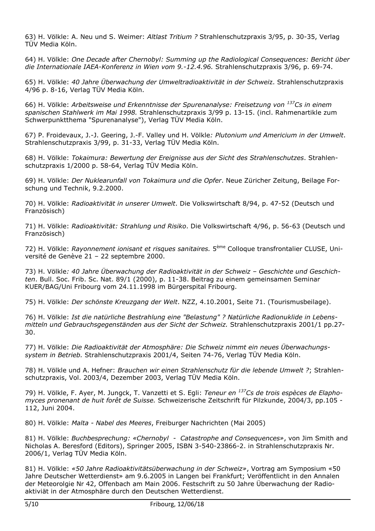63) H. Völkle: A. Neu und S. Weimer: *Altlast Tritium ?* Strahlenschutzpraxis 3/95, p. 30-35, Verlag TÜV Media Köln.

64) H. Völkle: *One Decade after Chernobyl: Summing up the Radiological Consequences: Bericht über die Internationale IAEA-Konferenz in Wien vom 9.-12.4.96.* Strahlenschutzpraxis 3/96, p. 69-74.

65) H. Völkle: *40 Jahre Überwachung der Umweltradioaktivität in der Schwei*z. Strahlenschutzpraxis 4/96 p. 8-16, Verlag TÜV Media Köln.

66) H. Völkle: *Arbeitsweise und Erkenntnisse der Spurenanalyse: Freisetzung von 137Cs in einem spanischen Stahlwerk im Mai 1998.* Strahlenschutzpraxis 3/99 p. 13-15. (incl. Rahmenartikle zum Schwerpunktthema "Spurenanalyse"), Verlag TÜV Media Köln.

67) P. Froidevaux, J.-J. Geering, J.-F. Valley und H. Völkle*: Plutonium und Americium in der Umwelt*. Strahlenschutzpraxis 3/99, p. 31-33, Verlag TÜV Media Köln.

68) H. Völkle: *Tokaimura: Bewertung der Ereignisse aus der Sicht des Strahlenschutzes*. Strahlenschutzpraxis 1/2000 p. 58-64, Verlag TÜV Media Köln.

69) H. Völkle: *Der Nuklearunfall von Tokaimura und die Opfer*. Neue Züricher Zeitung, Beilage Forschung und Technik, 9.2.2000.

70) H. Völkle: *Radioaktivität in unserer Umwelt*. Die Volkswirtschaft 8/94, p. 47-52 (Deutsch und Französisch)

71) H. Völkle: *Radioaktivität: Strahlung und Risiko*. Die Volkswirtschaft 4/96, p. 56-63 (Deutsch und Französisch)

72) H. Völkle: *Rayonnement ionisant et risques sanitaires.* 5ème Colloque transfrontalier CLUSE, Université de Genève 21 – 22 septembre 2000.

73) H. Völkle*: 40 Jahre Überwachung der Radioaktivität in der Schweiz – Geschichte und Geschichten*. Bull. Soc. Frib. Sc. Nat. 89/1 (2000), p. 11-38. Beitrag zu einem gemeinsamen Seminar KUER/BAG/Uni Fribourg vom 24.11.1998 im Bürgerspital Fribourg.

75) H. Völkle: *Der schönste Kreuzgang der Welt*. NZZ, 4.10.2001, Seite 71. (Tourismusbeilage).

76) H. Völkle: *Ist die natürliche Bestrahlung eine "Belastung" ? Natürliche Radionuklide in Lebensmitteln und Gebrauchsgegenständen aus der Sicht der Schweiz.* Strahlenschutzpraxis 2001/1 pp.27- 30.

77) H. Völkle: *Die Radioaktivität der Atmosphäre: Die Schweiz nimmt ein neues Überwachungssystem in Betrieb.* Strahlenschutzpraxis 2001/4, Seiten 74-76, Verlag TÜV Media Köln.

78) H. Völkle und A. Hefner: *Brauchen wir einen Strahlenschutz für die lebende Umwelt ?*; Strahlenschutzpraxis, Vol. 2003/4, Dezember 2003, Verlag TÜV Media Köln.

79) H. Völkle, F. Ayer, M. Jungck, T. Vanzetti et S. Egli: *Teneur en 137Cs de trois espèces de Elaphomyces pronenant de huit forêt de Suisse.* Schweizerische Zeitschrift für Pilzkunde, 2004/3, pp.105 - 112, Juni 2004.

80) H. Völkle: *Malta - Nabel des Meeres*, Freiburger Nachrichten (Mai 2005)

81) H. Völkle: *Buchbesprechung: «Chernobyl - Catastrophe and Consequences»*, von Jim Smith and Nicholas A. Beresford (Editors), Springer 2005, ISBN 3-540-23866-2. in Strahlenschutzpraxis Nr. 2006/1, Verlag TÜV Media Köln.

81) H. Völkle: *«50 Jahre Radioaktivitätsüberwachung in der Schweiz»*, Vortrag am Symposium «50 Jahre Deutscher Wetterdienst» am 9.6.2005 in Langen bei Frankfurt; Veröffentlicht in den Annalen der Meteorolgie Nr 42, Offenbach am Main 2006. Festschrift zu 50 Jahre Überwachung der Radioaktiviät in der Atmosphäre durch den Deutschen Wetterdienst.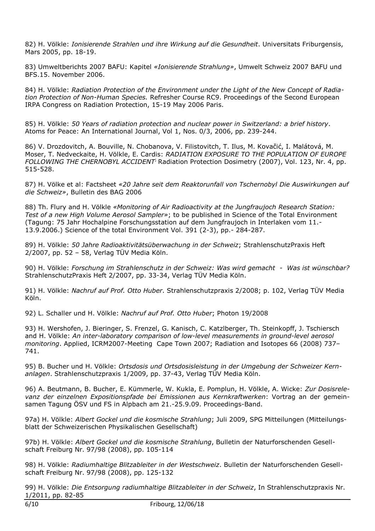82) H. Völkle: *Ionisierende Strahlen und ihre Wirkung auf die Gesundheit*. Universitats Friburgensis, Mars 2005, pp. 18-19.

83) Umweltberichts 2007 BAFU: Kapitel *«Ionisierende Strahlung»*, Umwelt Schweiz 2007 BAFU und BFS.15. November 2006.

84) H. Völkle: *Radiation Protection of the Environment under the Light of the New Concept of Radiation Protection of Non-Human Species.* Refresher Course RC9. Proceedings of the Second European IRPA Congress on Radiation Protection, 15-19 May 2006 Paris.

85) H. Völkle: *50 Years of radiation protection and nuclear power in Switzerland: a brief history*. Atoms for Peace: An International Journal, Vol 1, Nos. 0/3, 2006, pp. 239-244.

86) V. Drozdovitch, A. Bouville, N. Chobanova, V. Filistovitch, T. Ilus, M. Kovačić, I. Malátová, M. Moser, T. Nedveckaite, H. Völkle, E. Cardis: *RADIATION EXPOSURE TO THE POPULATION OF EUROPE FOLLOWING THE CHERNOBYL ACCIDENT*; Radiation Protection Dosimetry (2007), Vol. 123, Nr. 4, pp. 515-528.

87) H. Völke et al: Factsheet *«20 Jahre seit dem Reaktorunfall von Tschernobyl Die Auswirkungen auf die Schweiz»*, Bulletin des BAG 2006

88) Th. Flury and H. Völkle *«Monitoring of Air Radioactivity at the Jungfraujoch Research Station: Test of a new High Volume Aerosol Sampler»*; to be published in Science of the Total Environment (Tagung: 75 Jahr Hochalpine Forschungsstation auf dem Jungfraujoch in Interlaken vom 11.- 13.9.2006.) Science of the total Environment Vol. 391 (2-3), pp.- 284-287.

89) H. Völkle: *50 Jahre Radioaktivitätsüberwachung in der Schweiz*; StrahlenschutzPraxis Heft 2/2007, pp. 52 – 58, Verlag TÜV Media Köln.

90) H. Völkle: *Forschung im Strahlenschutz in der Schweiz: Was wird gemacht - Was ist wünschbar?* StrahlenschutzPraxis Heft 2/2007, pp. 33-34, Verlag TÜV Media Köln.

91) H. Völkle: *Nachruf auf Prof. Otto Huber*. Strahlenschutzpraxis 2/2008; p. 102, Verlag TÜV Media Köln.

92) L. Schaller und H. Völkle: *Nachruf auf Prof. Otto Huber*; Photon 19/2008

93) H. Wershofen, J. Bieringer, S. Frenzel, G. Kanisch, C. Katzlberger, Th. Steinkopff, J. Tschiersch and H. Völkle: *An inter-laboratory comparison of low-level measurements in ground-level aerosol monitoring*. Applied, ICRM2007-Meeting Cape Town 2007; Radiation and Isotopes 66 (2008) 737– 741.

95) B. Bucher und H. Völkle: *Ortsdosis und Ortsdosisleistung in der Umgebung der Schweizer Kernanlagen*. Strahlenschutzpraxis 1/2009, pp. 37-43, Verlag TÜV Media Köln.

96) A. Beutmann, B. Bucher, E. Kümmerle, W. Kukla, E. Pomplun, H. Völkle, A. Wicke: *Zur Dosisrelevanz der einzelnen Expositionspfade bei Emissionen aus Kernkraftwerken*: Vortrag an der gemeinsamen Tagung ÖSV und FS in Alpbach am 21.-25.9.09. Proceedings-Band.

97a) H. Völkle: *Albert Gockel und die kosmische Strahlung*; Juli 2009, SPG Mitteilungen (Mitteilungsblatt der Schweizerischen Physikalischen Gesellschaft)

97b) H. Völkle: *Albert Gockel und die kosmische Strahlung*, Bulletin der Naturforschenden Gesellschaft Freiburg Nr. 97/98 (2008), pp. 105-114

98) H. Völkle: *Radiumhaltige Blitzableiter in der Westschweiz*. Bulletin der Naturforschenden Gesellschaft Freiburg Nr. 97/98 (2008), pp. 125-132

99) H. Völkle: *Die Entsorgung radiumhaltige Blitzableiter in der Schweiz*, In Strahlenschutzpraxis Nr. 1/2011, pp. 82-85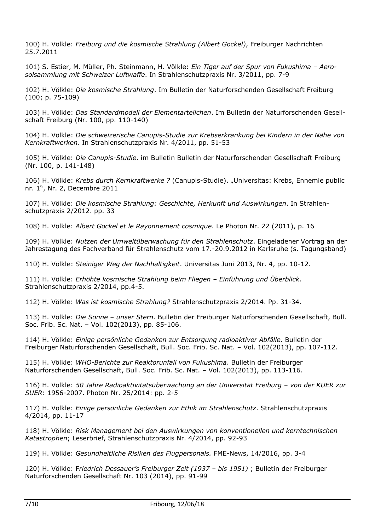100) H. Völkle: *Freiburg und die kosmische Strahlung (Albert Gockel)*, Freiburger Nachrichten 25.7.2011

101) S. Estier, M. Müller, Ph. Steinmann, H. Völkle: *Ein Tiger auf der Spur von Fukushima – Aerosolsammlung mit Schweizer Luftwaffe*. In Strahlenschutzpraxis Nr. 3/2011, pp. 7-9

102) H. Völkle: *Die kosmische Strahlung*. Im Bulletin der Naturforschenden Gesellschaft Freiburg (100; p. 75-109)

103) H. Völkle: *Das Standardmodell der Elementarteilchen*. Im Bulletin der Naturforschenden Gesellschaft Freiburg (Nr. 100, pp. 110-140)

104) H. Völkle: *Die schweizerische Canupis-Studie zur Krebserkrankung bei Kindern in der Nähe von Kernkraftwerken*. In Strahlenschutzpraxis Nr. 4/2011, pp. 51-53

105) H. Völkle: *Die Canupis-Studie*. im Bulletin Bulletin der Naturforschenden Gesellschaft Freiburg (Nr. 100, p. 141-148)

106) H. Völkle: *Krebs durch Kernkraftwerke ?* (Canupis-Studie). "Universitas: Krebs, Ennemie public nr. 1", Nr. 2, Decembre 2011

107) H. Völkle: *Die kosmische Strahlung: Geschichte, Herkunft und Auswirkungen*. In Strahlenschutzpraxis 2/2012. pp. 33

108) H. Völkle: *Albert Gockel et le Rayonnement cosmique*. Le Photon Nr. 22 (2011), p. 16

109) H. Völkle: *Nutzen der Umweltüberwachung für den Strahlenschutz*. Eingeladener Vortrag an der Jahrestagung des Fachverband für Strahlenschutz vom 17.-20.9.2012 in Karlsruhe (s. Tagungsband)

110) H. Völkle: *Steiniger Weg der Nachhaltigkeit*. Universitas Juni 2013, Nr. 4, pp. 10-12.

111) H. Völkle: *Erhöhte kosmische Strahlung beim Fliegen – Einführung und Überblick*. Strahlenschutzpraxis 2/2014, pp.4-5.

112) H. Völkle: *Was ist kosmische Strahlung?* Strahlenschutzpraxis 2/2014. Pp. 31-34.

113) H. Völkle: *Die Sonne – unser Stern*. Bulletin der Freiburger Naturforschenden Gesellschaft, Bull. Soc. Frib. Sc. Nat. – Vol. 102(2013), pp. 85-106.

114) H. Völkle: *Einige persönliche Gedanken zur Entsorgung radioaktiver Abfälle*. Bulletin der Freiburger Naturforschenden Gesellschaft, Bull. Soc. Frib. Sc. Nat. – Vol. 102(2013), pp. 107-112.

115) H. Völkle: *WHO-Berichte zur Reaktorunfall von Fukushima*. Bulletin der Freiburger Naturforschenden Gesellschaft, Bull. Soc. Frib. Sc. Nat. – Vol. 102(2013), pp. 113-116.

116) H. Völkle: *50 Jahre Radioaktivitätsüberwachung an der Universität Freiburg – von der KUER zur SUER*: 1956-2007. Photon Nr. 25/2014: pp. 2-5

117) H. Völkle: *Einige persönliche Gedanken zur Ethik im Strahlenschutz*. Strahlenschutzpraxis 4/2014, pp. 11-17

118) H. Völkle: *Risk Management bei den Auswirkungen von konventionellen und kerntechnischen Katastrophen*; Leserbrief, Strahlenschutzpraxis Nr. 4/2014, pp. 92-93

119) H. Völkle: *Gesundheitliche Risiken des Flugpersonals.* FME-News, 14/2016, pp. 3-4

120) H. Völkle: F*riedrich Dessauer's Freiburger Zeit (1937 – bis 1951)* ; Bulletin der Freiburger Naturforschenden Gesellschaft Nr. 103 (2014), pp. 91-99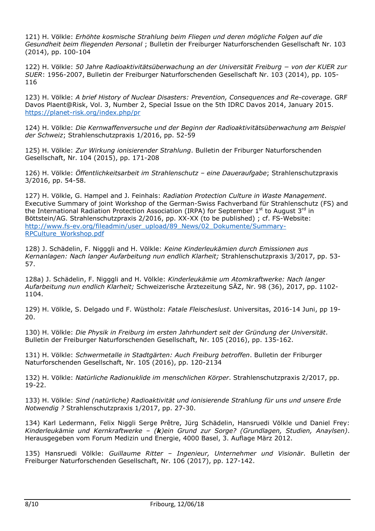121) H. Völkle: *Erhöhte kosmische Strahlung beim Fliegen und deren mögliche Folgen auf die Gesundheit beim fliegenden Personal* ; Bulletin der Freiburger Naturforschenden Gesellschaft Nr. 103 (2014), pp. 100-104

122) H. Völkle: *50 Jahre Radioaktivitätsüberwachung an der Universität Freiburg − von der KUER zur SUER*: 1956-2007, Bulletin der Freiburger Naturforschenden Gesellschaft Nr. 103 (2014), pp. 105- 116

123) H. Völkle: *A brief History of Nuclear Disasters: Prevention, Consequences and Re-coverage*. GRF Davos Plaent@Risk, Vol. 3, Number 2, Special Issue on the 5th IDRC Davos 2014, January 2015. https://planet-risk.org/index.php/pr

124) H. Völkle: *Die Kernwaffenversuche und der Beginn der Radioaktivitätsüberwachung am Beispiel der Schweiz*; Strahlenschutzpraxis 1/2016, pp. 52-59

125) H. Völkle: *Zur Wirkung ionisierender Strahlung*. Bulletin der Friburger Naturforschenden Gesellschaft, Nr. 104 (2015), pp. 171-208

126) H. Völkle: *Öffentlichkeitsarbeit im Strahlenschutz – eine Daueraufgabe*; Strahlenschutzpraxis 3/2016, pp. 54-58.

127) H. Völkle, G. Hampel and J. Feinhals: *Radiation Protection Culture in Waste Management*. Executive Summary of joint Workshop of the German-Swiss Fachverband für Strahlenschutz (FS) and the International Radiation Protection Association (IRPA) for September  $1^{st}$  to August  $3^{rd}$  in Böttstein/AG. Strahlenschutzpraxis 2/2016, pp. XX-XX (to be published) ; cf. FS-Website: http://www.fs-ev.org/fileadmin/user\_upload/89\_News/02\_Dokumente/Summary-RPCulture\_Workshop.pdf

128) J. Schädelin, F. Nigggli and H. Völkle: *Keine Kinderleukämien durch Emissionen aus Kernanlagen: Nach langer Aufarbeitung nun endlich Klarheit;* Strahlenschutzpraxis 3/2017, pp. 53- 57.

128a) J. Schädelin, F. Nigggli and H. Völkle: *Kinderleukämie um Atomkraftwerke: Nach langer Aufarbeitung nun endlich Klarheit;* Schweizerische Ärztezeitung SÄZ, Nr. 98 (36), 2017, pp. 1102- 1104.

129) H. Völkle, S. Delgado und F. Wüstholz: *Fatale Fleischeslust*. Universitas, 2016-14 Juni, pp 19- 20.

130) H. Völkle: *Die Physik in Freiburg im ersten Jahrhundert seit der Gründung der Universität*. Bulletin der Freiburger Naturforschenden Gesellschaft, Nr. 105 (2016), pp. 135-162.

131) H. Völkle: *Schwermetalle in Stadtgärten: Auch Freiburg betroffen*. Bulletin der Friburger Naturforschenden Gesellschaft, Nr. 105 (2016), pp. 120-2134

132) H. Völkle: *Natürliche Radionuklide im menschlichen Körper*. Strahlenschutzpraxis 2/2017, pp. 19-22.

133) H. Völkle: *Sind (natürliche) Radioaktivität und ionisierende Strahlung für uns und unsere Erde Notwendig ?* Strahlenschutzpraxis 1/2017, pp. 27-30.

134) Karl Ledermann, Felix Niggli Serge Prêtre, Jürg Schädelin, Hansruedi Völkle und Daniel Frey: *Kinderleukämie und Kernkraftwerke – (k)ein Grund zur Sorge? (Grundlagen, Studien, Anaylsen)*. Herausgegeben vom Forum Medizin und Energie, 4000 Basel, 3. Auflage März 2012.

135) Hansruedi Völkle: *Guillaume Ritter – Ingenieur, Unternehmer und Visionär*. Bulletin der Freiburger Naturforschenden Gesellschaft, Nr. 106 (2017), pp. 127-142.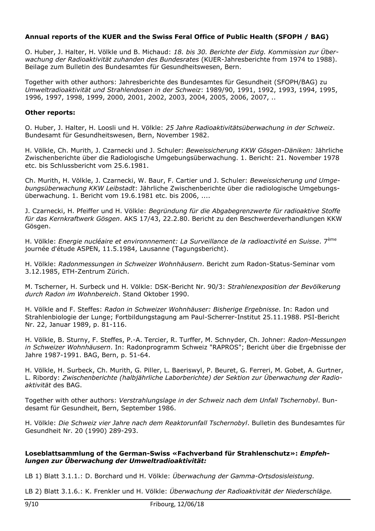# **Annual reports of the KUER and the Swiss Feral Office of Public Health (SFOPH / BAG)**

O. Huber, J. Halter, H. Völkle und B. Michaud: *18. bis 30. Berichte der Eidg. Kommission zur Überwachung der Radioaktivität zuhanden des Bundesrates* (KUER-Jahresberichte from 1974 to 1988). Beilage zum Bulletin des Bundesamtes für Gesundheitswesen, Bern.

Together with other authors: Jahresberichte des Bundesamtes für Gesundheit (SFOPH/BAG) zu *Umweltradioaktivität und Strahlendosen in der Schweiz*: 1989/90, 1991, 1992, 1993, 1994, 1995, 1996, 1997, 1998, 1999, 2000, 2001, 2002, 2003, 2004, 2005, 2006, 2007, ..

### **Other reports:**

O. Huber, J. Halter, H. Loosli und H. Völkle: *25 Jahre Radioaktivitätsüberwachung in der Schweiz*. Bundesamt für Gesundheitswesen, Bern, November 1982.

H. Völkle, Ch. Murith, J. Czarnecki und J. Schuler: *Beweissicherung KKW Gösgen-Däniken:* Jährliche Zwischenberichte über die Radiologische Umgebungsüberwachung. 1. Bericht: 21. November 1978 etc. bis Schlussbericht vom 25.6.1981.

Ch. Murith, H. Völkle, J. Czarnecki, W. Baur, F. Cartier und J. Schuler: *Beweissicherung und Umgebungsüberwachung KKW Leibstadt*: Jährliche Zwischenberichte über die radiologische Umgebungsüberwachung. 1. Bericht vom 19.6.1981 etc. bis 2006, ....

J. Czarnecki, H. Pfeiffer und H. Völkle: *Begründung für die Abgabegrenzwerte für radioaktive Stoffe für das Kernkraftwerk Gösgen*. AKS 17/43, 22.2.80. Bericht zu den Beschwerdeverhandlungen KKW Gösgen.

H. Völkle: *Energie nucléaire et environnnement: La Surveillance de la radioactivité en Suisse*. 7ème journée d'étude ASPEN, 11.5.1984, Lausanne (Tagungsbericht).

H. Völkle: *Radonmessungen in Schweizer Wohnhäusern*. Bericht zum Radon-Status-Seminar vom 3.12.1985, ETH-Zentrum Zürich.

M. Tscherner, H. Surbeck und H. Völkle: DSK-Bericht Nr. 90/3: *Strahlenexposition der Bevölkerung durch Radon im Wohnbereich*. Stand Oktober 1990.

H. Völkle and F. Steffes: *Radon in Schweizer Wohnhäuser: Bisherige Ergebnisse*. In: Radon und Strahlenbiologie der Lunge; Fortbildungstagung am Paul-Scherrer-Institut 25.11.1988. PSI-Bericht Nr. 22, Januar 1989, p. 81-116.

H. Völkle, B. Sturny, F. Steffes, P.-A. Tercier, R. Turffer, M. Schnyder, Ch. Johner: *Radon-Messungen in Schweizer Wohnhäusern*. In: Radonprogramm Schweiz "RAPROS"; Bericht über die Ergebnisse der Jahre 1987-1991. BAG, Bern, p. 51-64.

H. Völkle, H. Surbeck, Ch. Murith, G. Piller, L. Baeriswyl, P. Beuret, G. Ferreri, M. Gobet, A. Gurtner, L. Ribordy: *Zwischenberichte (halbjährliche Laborberichte) der Sektion zur Überwachung der Radioaktivität* des BAG.

Together with other authors: *Verstrahlungslage in der Schweiz nach dem Unfall Tschernobyl*. Bundesamt für Gesundheit, Bern, September 1986.

H. Völkle: *Die Schweiz vier Jahre nach dem Reaktorunfall Tschernobyl*. Bulletin des Bundesamtes für Gesundheit Nr. 20 (1990) 289-293.

### **Loseblattsammlung of the German-Swiss «Fachverband für Strahlenschutz»:** *Empfehlungen zur Überwachung der Umweltradioaktivität:*

LB 1) Blatt 3.1.1.: D. Borchard und H. Völkle: *Überwachung der Gamma-Ortsdosisleistung.*

LB 2) Blatt 3.1.6.: K. Frenkler und H. Völkle: *Überwachung der Radioaktivität der Niederschläge.*